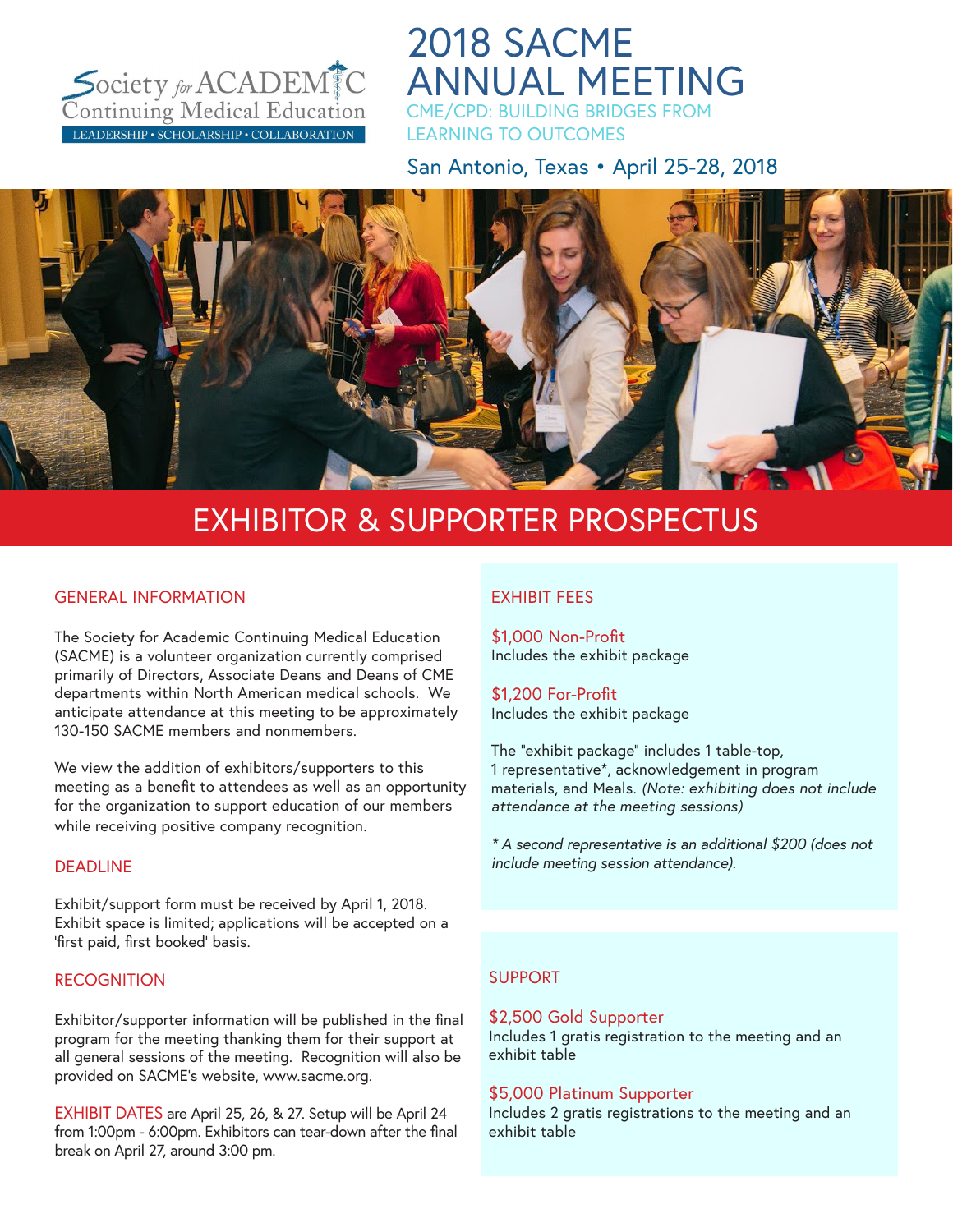

2018 SACME ANNUAL MEETING CME/CPD: BUILDING BRIDGES FROM

LEARNING TO OUTCOMES

San Antonio, Texas • April 25-28, 2018



# EXHIBITOR & SUPPORTER PROSPECTUS

## GENERAL INFORMATION

The Society for Academic Continuing Medical Education (SACME) is a volunteer organization currently comprised primarily of Directors, Associate Deans and Deans of CME departments within North American medical schools. We anticipate attendance at this meeting to be approximately 130-150 SACME members and nonmembers.

We view the addition of exhibitors/supporters to this meeting as a benefit to attendees as well as an opportunity for the organization to support education of our members while receiving positive company recognition.

#### DEADLINE

Exhibit/support form must be received by April 1, 2018. Exhibit space is limited; applications will be accepted on a 'first paid, first booked' basis.

#### **RECOGNITION**

Exhibitor/supporter information will be published in the final program for the meeting thanking them for their support at all general sessions of the meeting. Recognition will also be provided on SACME's website, www.sacme.org.

EXHIBIT DATES are April 25, 26, & 27. Setup will be April 24 from 1:00pm - 6:00pm. Exhibitors can tear-down after the final break on April 27, around 3:00 pm.

## EXHIBIT FEES

\$1,000 Non-Profit Includes the exhibit package

\$1,200 For-Profit Includes the exhibit package

The "exhibit package" includes 1 table-top, 1 representative\*, acknowledgement in program materials, and Meals. *(Note: exhibiting does not include attendance at the meeting sessions)*

*\* A second representative is an additional \$200 (does not include meeting session attendance).*

# SUPPORT

#### \$2,500 Gold Supporter Includes 1 gratis registration to the meeting and an exhibit table

#### \$5,000 Platinum Supporter

Includes 2 gratis registrations to the meeting and an exhibit table